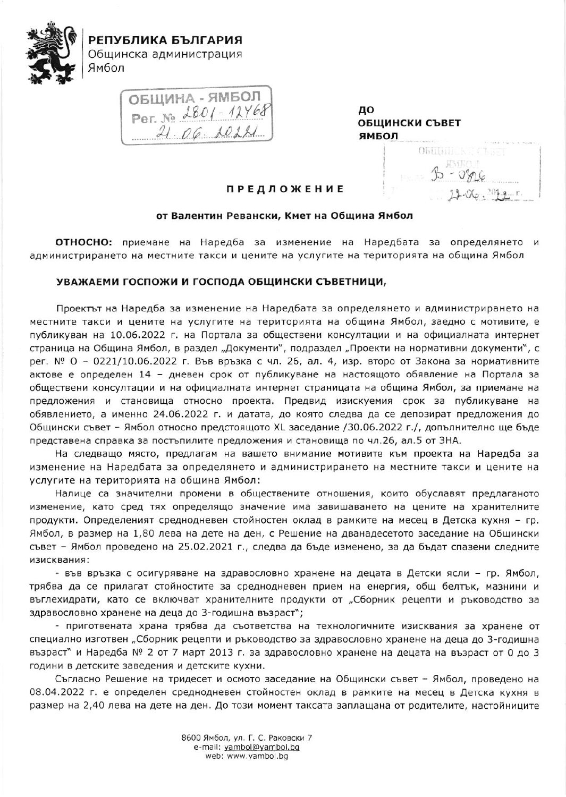

РЕПУБЛИКА БЪЛГАРИЯ Общинска администрация Ямбол

OBLUMHA-SIMBON<br>Per Ne 2801-12768<br>21 06 2022

до ОБЩИНСКИ СЪВЕТ ЯМБОЛ

**OBLIMITIONE CINNET** 

## **ПРЕДЛОЖЕНИЕ**

## от Валентин Ревански, Кмет на Община Ямбол

ОТНОСНО: приемане на Наредба за изменение на Наредбата за определянето и администрирането на местните такси и цените на услугите на територията на община Ямбол

## УВАЖАЕМИ ГОСПОЖИ И ГОСПОДА ОБЩИНСКИ СЪВЕТНИЦИ,

Проектът на Наредба за изменение на Наредбата за определянето и администрирането на местните такси и цените на услугите на територията на община Ямбол, заедно с мотивите, е публикуван на 10.06.2022 г. на Портала за обществени консултации и на официалната интернет страница на Община Ямбол, в раздел "Документи", подраздел "Проекти на нормативни документи", с рег. № О - 0221/10.06.2022 г. Във връзка с чл. 26, ал. 4, изр. второ от Закона за нормативните актове е определен 14 - дневен срок от публикуване на настоящото обявление на Портала за обществени консултации и на официалната интернет страницата на община Ямбол, за приемане на предложения и становища относно проекта. Предвид изискуемия срок за публикуване на обявлението, а именно 24.06.2022 г. и датата, до която следва да се депозират предложения до Общински съвет - Ямбол относно предстоящото XL заседание /30.06.2022 г./, допълнително ще бъде представена справка за постъпилите предложения и становища по чл.26, ал.5 от ЗНА.

На следващо място, предлагам на вашето внимание мотивите към проекта на Наредба за изменение на Наредбата за определянето и администрирането на местните такси и цените на услугите на територията на община Ямбол:

Налице са значителни промени в обществените отношения, които обуславят предлаганото изменение, като сред тях определящо значение има завишаването на цените на хранителните продукти. Определеният среднодневен стойностен оклад в рамките на месец в Детска кухня - гр. Ямбол, в размер на 1,80 лева на дете на ден, с Решение на дванадесетото заседание на Общински съвет - Ямбол проведено на 25.02.2021 г., следва да бъде изменено, за да бъдат спазени следните изисквания:

- във връзка с осигуряване на здравословно хранене на децата в Детски ясли - гр. Ямбол, трябва да се прилагат стойностите за среднодневен прием на енергия, общ белтък, мазнини и въглехидрати, като се включват хранителните продукти от "Сборник рецепти и ръководство за здравословно хранене на деца до 3-годишна възраст";

- приготвената храна трябва да съответства на технологичните изисквания за хранене от специално изготвен "Сборник рецепти и ръководство за здравословно хранене на деца до 3-годишна възраст" и Наредба № 2 от 7 март 2013 г. за здравословно хранене на децата на възраст от 0 до 3 години в детските заведения и детските кухни.

Съгласно Решение на тридесет и осмото заседание на Общински съвет - Ямбол, проведено на 08.04.2022 г. е определен среднодневен стойностен оклад в рамките на месец в Детска кухня в размер на 2,40 лева на дете на ден. До този момент таксата заплащана от родителите, настойниците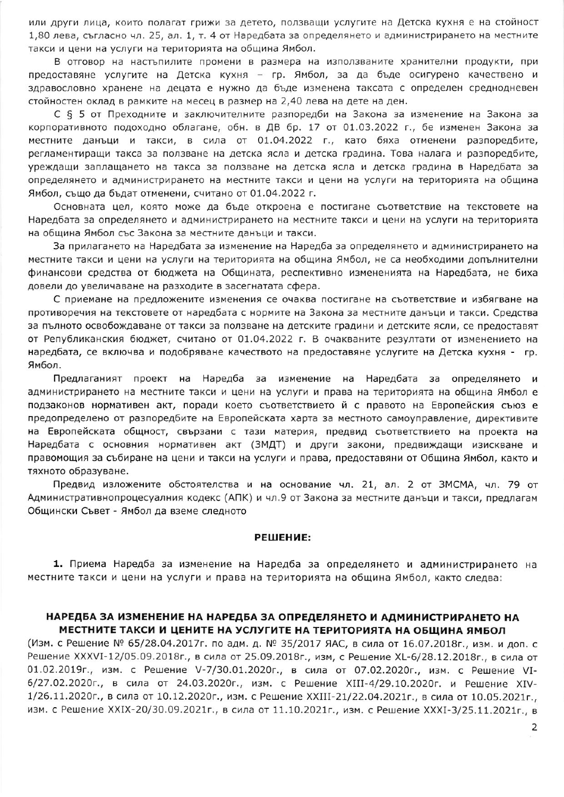или други лица, които полагат грижи за детето, ползващи услугите на Детска кухня е на стойност 1,80 лева, съгласно чл. 25, ал. 1, т. 4 от Наредбата за определянето и администрирането на местните такси и цени на услуги на територията на община Ямбол.

В отговор на настъпилите промени в размера на използваните хранителни продукти, при предоставяне услугите на Детска кухня - гр. Ямбол, за да бъде осигурено качествено и здравословно хранене на децата е нужно да бъде изменена таксата с определен среднодневен стойностен оклад в рамките на месец в размер на 2,40 лева на дете на ден.

С § 5 от Преходните и заключителните разпоредби на Закона за изменение на Закона за корпоративното подоходно облагане, обн. в ДВ бр. 17 от 01.03.2022 г., бе изменен Закона за местните данъци и такси, в сила от 01.04.2022 г., като бяха отменени разпоредбите, регламентиращи такса за ползване на детска ясла и детска градина. Това налага и разпоредбите, уреждащи заплащането на такса за ползване на детска ясла и детска градина в Наредбата за определянето и администрирането на местните такси и цени на услуги на територията на община Ямбол, също да бъдат отменени, считано от 01.04.2022 г.

Основната цел, която може да бъде откроена е постигане съответствие на текстовете на Наредбата за определянето и администрирането на местните такси и цени на услуги на територията на община Ямбол със Закона за местните данъци и такси.

За прилагането на Наредбата за изменение на Наредба за определянето и администрирането на местните такси и цени на услуги на територията на община Ямбол, не са необходими допълнителни финансови средства от бюджета на Общината, респективно измененията на Наредбата, не биха довели до увеличаване на разходите в засегнатата сфера.

С приемане на предложените изменения се очаква постигане на съответствие и избягване на противоречия на текстовете от наредбата с нормите на Закона за местните данъци и такси. Средства за пълното освобождаване от такси за ползване на детските градини и детските ясли, се предоставят от Републиканския бюджет, считано от 01.04.2022 г. В очакваните резултати от изменението на наредбата, се включва и подобряване качеството на предоставяне услугите на Детска кухня - гр. Ямбол.

Предлаганият проект на Наредба за изменение на Наредбата за определянето и администрирането на местните такси и цени на услуги и права на територията на община Ямбол е подзаконов нормативен акт, поради което съответствието й с правото на Европейския съюз е предопределено от разпоредбите на Европейската харта за местното самоуправление, директивите на Европейската общност, свързани с тази материя, предвид съответствието на проекта на Наредбата с основния нормативен акт (ЗМДТ) и други закони, предвиждащи изискване и правомощия за събиране на цени и такси на услуги и права, предоставяни от Община Ямбол, както и тяхното образуване.

Предвид изложените обстоятелства и на основание чл. 21, ал. 2 от ЗМСМА, чл. 79 от Административнопроцесуалния кодекс (АПК) и чл.9 от Закона за местните данъци и такси, предлагам Общински Съвет - Ямбол да вземе следното

#### РЕШЕНИЕ:

1. Приема Наредба за изменение на Наредба за определянето и администрирането на местните такси и цени на услуги и права на територията на община Ямбол, както следва:

# НАРЕДБА ЗА ИЗМЕНЕНИЕ НА НАРЕДБА ЗА ОПРЕДЕЛЯНЕТО И АДМИНИСТРИРАНЕТО НА МЕСТНИТЕ ТАКСИ И ЦЕНИТЕ НА УСЛУГИТЕ НА ТЕРИТОРИЯТА НА ОБЩИНА ЯМБОЛ

(Изм. с Решение № 65/28.04.2017г. по адм. д. № 35/2017 ЯАС, в сила от 16.07.2018г., изм. и доп. с Решение XXXVI-12/05.09.2018г., в сила от 25.09.2018г., изм, с Решение XL-6/28.12.2018г., в сила от 01.02.2019г., изм. с Решение V-7/30.01.2020г., в сила от 07.02.2020г., изм. с Решение VI-6/27.02.2020г., в сила от 24.03.2020г., изм. с Решение XIII-4/29.10.2020г. и Решение XIV-1/26.11.2020г., в сила от 10.12.2020г., изм. с Решение XXIII-21/22.04.2021г., в сила от 10.05.2021г., изм. с Решение XXIX-20/30.09.2021г., в сила от 11.10.2021г., изм. с Решение XXXI-3/25.11.2021г., в